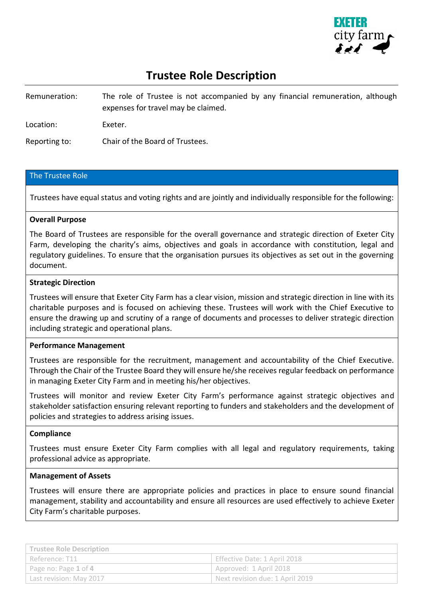

# **Trustee Role Description**

Remuneration: The role of Trustee is not accompanied by any financial remuneration, although expenses for travel may be claimed.

Location: Exeter.

Reporting to: Chair of the Board of Trustees.

## The Trustee Role

Trustees have equal status and voting rights and are jointly and individually responsible for the following:

## **Overall Purpose**

The Board of Trustees are responsible for the overall governance and strategic direction of Exeter City Farm, developing the charity's aims, objectives and goals in accordance with constitution, legal and regulatory guidelines. To ensure that the organisation pursues its objectives as set out in the governing document.

## **Strategic Direction**

Trustees will ensure that Exeter City Farm has a clear vision, mission and strategic direction in line with its charitable purposes and is focused on achieving these. Trustees will work with the Chief Executive to ensure the drawing up and scrutiny of a range of documents and processes to deliver strategic direction including strategic and operational plans.

## **Performance Management**

Trustees are responsible for the recruitment, management and accountability of the Chief Executive. Through the Chair of the Trustee Board they will ensure he/she receives regular feedback on performance in managing Exeter City Farm and in meeting his/her objectives.

Trustees will monitor and review Exeter City Farm's performance against strategic objectives and stakeholder satisfaction ensuring relevant reporting to funders and stakeholders and the development of policies and strategies to address arising issues.

## **Compliance**

Trustees must ensure Exeter City Farm complies with all legal and regulatory requirements, taking professional advice as appropriate.

## **Management of Assets**

Trustees will ensure there are appropriate policies and practices in place to ensure sound financial management, stability and accountability and ensure all resources are used effectively to achieve Exeter City Farm's charitable purposes.

| <b>Trustee Role Description</b> |                                 |
|---------------------------------|---------------------------------|
| ' Reference: T11                | Effective Date: 1 April 2018    |
| Page no: Page 1 of 4            | Approved: 1 April 2018          |
| Last revision: May 2017         | Next revision due: 1 April 2019 |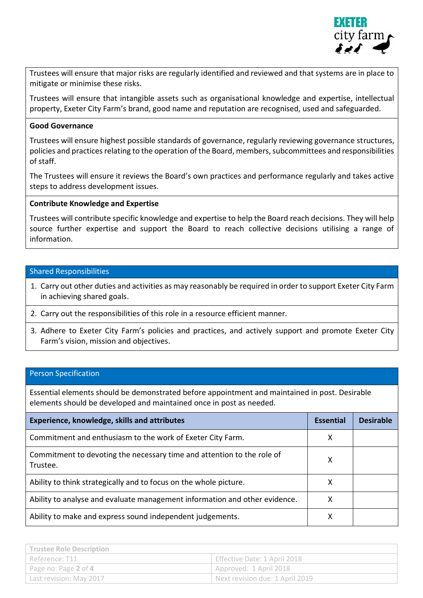

Trustees will ensure that major risks are regularly identified and reviewed and that systems are in place to mitigate or minimise these risks.

Trustees will ensure that intangible assets such as organisational knowledge and expertise, intellectual property, Exeter City Farm's brand, good name and reputation are recognised, used and safeguarded.

# **Good Governance**

Trustees will ensure highest possible standards of governance, regularly reviewing governance structures, policies and practices relating to the operation of the Board, members, subcommittees and responsibilities of staff.

The Trustees will ensure it reviews the Board's own practices and performance regularly and takes active steps to address development issues.

# **Contribute Knowledge and Expertise**

Trustees will contribute specific knowledge and expertise to help the Board reach decisions. They will help source further expertise and support the Board to reach collective decisions utilising a range of information.

# Shared Responsibilities

- 1. Carry out other duties and activities as may reasonably be required in order to support Exeter City Farm in achieving shared goals.
- 2. Carry out the responsibilities of this role in a resource efficient manner.
- 3. Adhere to Exeter City Farm's policies and practices, and actively support and promote Exeter City Farm's vision, mission and objectives.

## Person Specification

Essential elements should be demonstrated before appointment and maintained in post. Desirable elements should be developed and maintained once in post as needed.

| Experience, knowledge, skills and attributes                                       | <b>Essential</b> | <b>Desirable</b> |
|------------------------------------------------------------------------------------|------------------|------------------|
| Commitment and enthusiasm to the work of Exeter City Farm.                         | х                |                  |
| Commitment to devoting the necessary time and attention to the role of<br>Trustee. |                  |                  |
| Ability to think strategically and to focus on the whole picture.                  | x                |                  |
| Ability to analyse and evaluate management information and other evidence.         |                  |                  |
| Ability to make and express sound independent judgements.                          | x                |                  |

| <b>Trustee Role Description</b> |                                 |
|---------------------------------|---------------------------------|
| 'Reference: T11                 | Effective Date: 1 April 2018    |
| Page no: Page 2 of 4            | Approved: 1 April 2018          |
| Last revision: May 2017         | Next revision due: 1 April 2019 |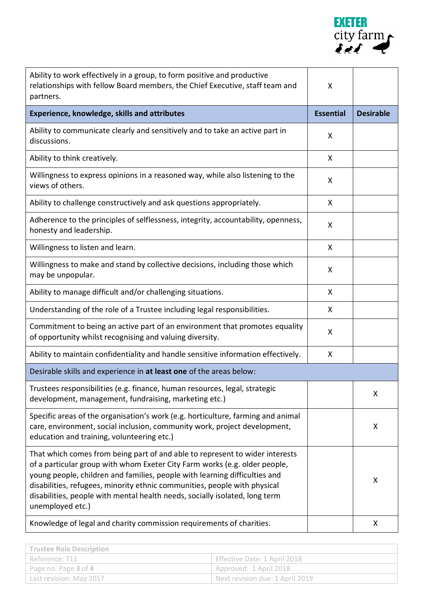

| Ability to work effectively in a group, to form positive and productive<br>relationships with fellow Board members, the Chief Executive, staff team and<br>partners.                                                                                                                                                                                                                                                     | X                |                  |
|--------------------------------------------------------------------------------------------------------------------------------------------------------------------------------------------------------------------------------------------------------------------------------------------------------------------------------------------------------------------------------------------------------------------------|------------------|------------------|
| <b>Experience, knowledge, skills and attributes</b>                                                                                                                                                                                                                                                                                                                                                                      | <b>Essential</b> | <b>Desirable</b> |
| Ability to communicate clearly and sensitively and to take an active part in<br>discussions.                                                                                                                                                                                                                                                                                                                             | X                |                  |
| Ability to think creatively.                                                                                                                                                                                                                                                                                                                                                                                             | X                |                  |
| Willingness to express opinions in a reasoned way, while also listening to the<br>views of others.                                                                                                                                                                                                                                                                                                                       | X                |                  |
| Ability to challenge constructively and ask questions appropriately.                                                                                                                                                                                                                                                                                                                                                     | X                |                  |
| Adherence to the principles of selflessness, integrity, accountability, openness,<br>honesty and leadership.                                                                                                                                                                                                                                                                                                             | X                |                  |
| Willingness to listen and learn.                                                                                                                                                                                                                                                                                                                                                                                         | X                |                  |
| Willingness to make and stand by collective decisions, including those which<br>may be unpopular.                                                                                                                                                                                                                                                                                                                        | X                |                  |
| Ability to manage difficult and/or challenging situations.                                                                                                                                                                                                                                                                                                                                                               | X                |                  |
| Understanding of the role of a Trustee including legal responsibilities.                                                                                                                                                                                                                                                                                                                                                 | X                |                  |
| Commitment to being an active part of an environment that promotes equality<br>of opportunity whilst recognising and valuing diversity.                                                                                                                                                                                                                                                                                  | X                |                  |
| Ability to maintain confidentiality and handle sensitive information effectively.                                                                                                                                                                                                                                                                                                                                        | X                |                  |
| Desirable skills and experience in at least one of the areas below:                                                                                                                                                                                                                                                                                                                                                      |                  |                  |
| Trustees responsibilities (e.g. finance, human resources, legal, strategic<br>development, management, fundraising, marketing etc.)                                                                                                                                                                                                                                                                                      |                  | X                |
| Specific areas of the organisation's work (e.g. horticulture, farming and animal<br>care, environment, social inclusion, community work, project development,<br>education and training, volunteering etc.)                                                                                                                                                                                                              |                  | X                |
| That which comes from being part of and able to represent to wider interests<br>of a particular group with whom Exeter City Farm works (e.g. older people,<br>young people, children and families, people with learning difficulties and<br>disabilities, refugees, minority ethnic communities, people with physical<br>disabilities, people with mental health needs, socially isolated, long term<br>unemployed etc.) |                  | X                |
| Knowledge of legal and charity commission requirements of charities.                                                                                                                                                                                                                                                                                                                                                     |                  | X                |

| <b>Trustee Role Description</b>      |                                 |
|--------------------------------------|---------------------------------|
| I Reference: T11                     | Effective Date: 1 April 2018    |
| Page no: Page 3 of 4                 | Approved: 1 April 2018          |
| <sup>1</sup> Last revision: May 2017 | Next revision due: 1 April 2019 |